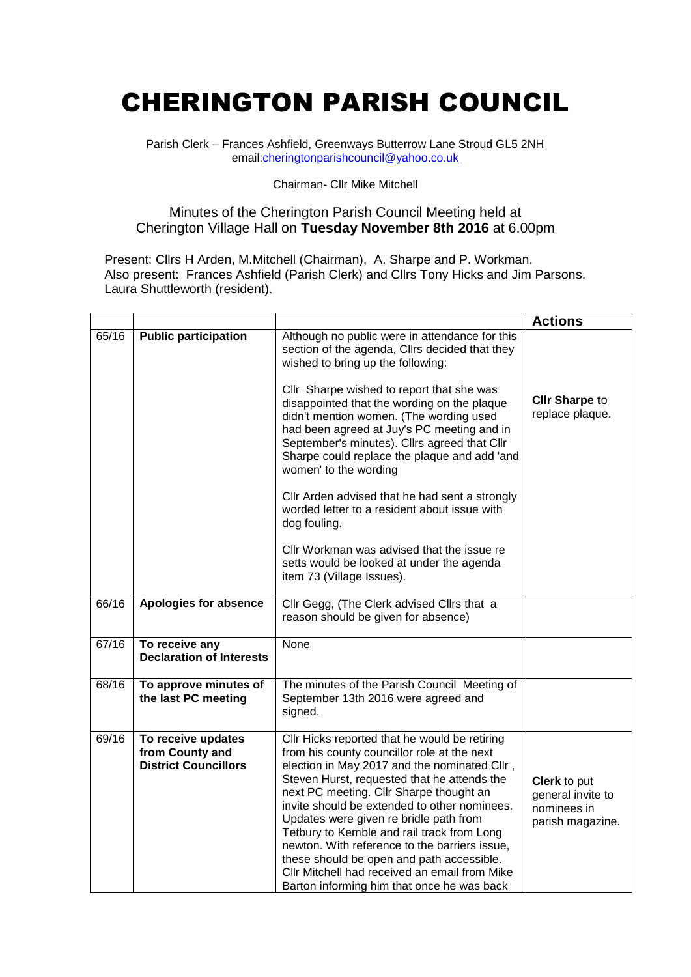## CHERINGTON PARISH COUNCIL

Parish Clerk – Frances Ashfield, Greenways Butterrow Lane Stroud GL5 2NH email[:cheringtonparishcouncil@yahoo.co.uk](mailto:cheringtonparishcouncil@yahoo.co.uk)

## Chairman- Cllr Mike Mitchell

## Minutes of the Cherington Parish Council Meeting held at Cherington Village Hall on **Tuesday November 8th 2016** at 6.00pm

Present: Cllrs H Arden, M.Mitchell (Chairman), A. Sharpe and P. Workman. Also present: Frances Ashfield (Parish Clerk) and Clirs Tony Hicks and Jim Parsons. Laura Shuttleworth (resident).

|       |                                                                                                                                                                                                                                                                                                                                                                                                                                                                                                                                                                                                                                                     |                                                                                                                                                                                                                                                               | <b>Actions</b>                                                              |
|-------|-----------------------------------------------------------------------------------------------------------------------------------------------------------------------------------------------------------------------------------------------------------------------------------------------------------------------------------------------------------------------------------------------------------------------------------------------------------------------------------------------------------------------------------------------------------------------------------------------------------------------------------------------------|---------------------------------------------------------------------------------------------------------------------------------------------------------------------------------------------------------------------------------------------------------------|-----------------------------------------------------------------------------|
| 65/16 | <b>Public participation</b>                                                                                                                                                                                                                                                                                                                                                                                                                                                                                                                                                                                                                         | Although no public were in attendance for this<br>section of the agenda, Cllrs decided that they<br>wished to bring up the following:<br>Cllr Sharpe wished to report that she was                                                                            |                                                                             |
|       |                                                                                                                                                                                                                                                                                                                                                                                                                                                                                                                                                                                                                                                     | disappointed that the wording on the plaque<br>didn't mention women. (The wording used<br>had been agreed at Juy's PC meeting and in<br>September's minutes). Cllrs agreed that Cllr<br>Sharpe could replace the plaque and add 'and<br>women' to the wording | <b>CIIr Sharpe to</b><br>replace plaque.                                    |
|       |                                                                                                                                                                                                                                                                                                                                                                                                                                                                                                                                                                                                                                                     | Cllr Arden advised that he had sent a strongly<br>worded letter to a resident about issue with<br>dog fouling.                                                                                                                                                |                                                                             |
|       |                                                                                                                                                                                                                                                                                                                                                                                                                                                                                                                                                                                                                                                     | Cllr Workman was advised that the issue re<br>setts would be looked at under the agenda<br>item 73 (Village Issues).                                                                                                                                          |                                                                             |
| 66/16 | Apologies for absence<br>Cllr Gegg, (The Clerk advised Cllrs that a<br>reason should be given for absence)                                                                                                                                                                                                                                                                                                                                                                                                                                                                                                                                          |                                                                                                                                                                                                                                                               |                                                                             |
| 67/16 | To receive any<br>None<br><b>Declaration of Interests</b>                                                                                                                                                                                                                                                                                                                                                                                                                                                                                                                                                                                           |                                                                                                                                                                                                                                                               |                                                                             |
| 68/16 | To approve minutes of<br>the last PC meeting                                                                                                                                                                                                                                                                                                                                                                                                                                                                                                                                                                                                        | The minutes of the Parish Council Meeting of<br>September 13th 2016 were agreed and<br>signed.                                                                                                                                                                |                                                                             |
| 69/16 | To receive updates<br>Cllr Hicks reported that he would be retiring<br>from County and<br>from his county councillor role at the next<br><b>District Councillors</b><br>election in May 2017 and the nominated Cllr,<br>Steven Hurst, requested that he attends the<br>next PC meeting. Cllr Sharpe thought an<br>invite should be extended to other nominees.<br>Updates were given re bridle path from<br>Tetbury to Kemble and rail track from Long<br>newton. With reference to the barriers issue,<br>these should be open and path accessible.<br>Cllr Mitchell had received an email from Mike<br>Barton informing him that once he was back |                                                                                                                                                                                                                                                               | <b>Clerk</b> to put<br>general invite to<br>nominees in<br>parish magazine. |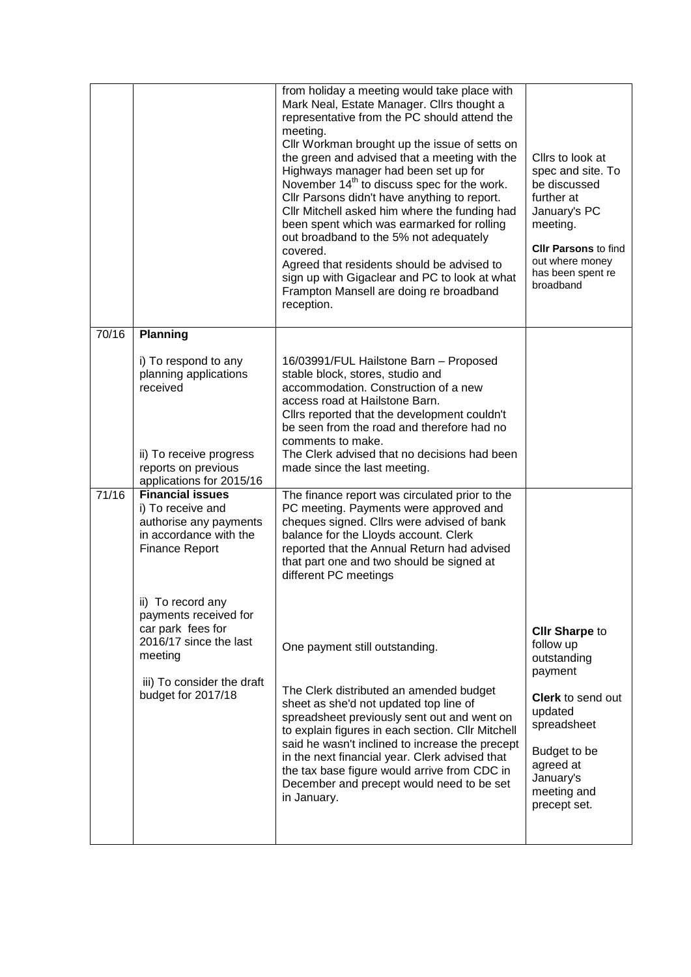|       |                                                                                                                                         | from holiday a meeting would take place with<br>Mark Neal, Estate Manager. Clirs thought a<br>representative from the PC should attend the<br>meeting.<br>Cllr Workman brought up the issue of setts on<br>the green and advised that a meeting with the<br>Highways manager had been set up for<br>November 14 <sup>th</sup> to discuss spec for the work.<br>Cllr Parsons didn't have anything to report.<br>Cllr Mitchell asked him where the funding had<br>been spent which was earmarked for rolling<br>out broadband to the 5% not adequately<br>covered.<br>Agreed that residents should be advised to<br>sign up with Gigaclear and PC to look at what<br>Frampton Mansell are doing re broadband<br>reception. | Cllrs to look at<br>spec and site. To<br>be discussed<br>further at<br>January's PC<br>meeting.<br><b>CIIr Parsons to find</b><br>out where money<br>has been spent re<br>broadband |
|-------|-----------------------------------------------------------------------------------------------------------------------------------------|--------------------------------------------------------------------------------------------------------------------------------------------------------------------------------------------------------------------------------------------------------------------------------------------------------------------------------------------------------------------------------------------------------------------------------------------------------------------------------------------------------------------------------------------------------------------------------------------------------------------------------------------------------------------------------------------------------------------------|-------------------------------------------------------------------------------------------------------------------------------------------------------------------------------------|
| 70/16 | <b>Planning</b>                                                                                                                         |                                                                                                                                                                                                                                                                                                                                                                                                                                                                                                                                                                                                                                                                                                                          |                                                                                                                                                                                     |
|       | i) To respond to any<br>planning applications<br>received<br>ii) To receive progress<br>reports on previous<br>applications for 2015/16 | 16/03991/FUL Hailstone Barn - Proposed<br>stable block, stores, studio and<br>accommodation. Construction of a new<br>access road at Hailstone Barn.<br>Clirs reported that the development couldn't<br>be seen from the road and therefore had no<br>comments to make.<br>The Clerk advised that no decisions had been<br>made since the last meeting.                                                                                                                                                                                                                                                                                                                                                                  |                                                                                                                                                                                     |
| 71/16 | <b>Financial issues</b><br>i) To receive and<br>authorise any payments<br>in accordance with the<br><b>Finance Report</b>               | The finance report was circulated prior to the<br>PC meeting. Payments were approved and<br>cheques signed. Cllrs were advised of bank<br>balance for the Lloyds account. Clerk<br>reported that the Annual Return had advised<br>that part one and two should be signed at<br>different PC meetings                                                                                                                                                                                                                                                                                                                                                                                                                     |                                                                                                                                                                                     |
|       | ii) To record any<br>payments received for<br>car park fees for<br>2016/17 since the last<br>meeting<br>iii) To consider the draft      | One payment still outstanding.                                                                                                                                                                                                                                                                                                                                                                                                                                                                                                                                                                                                                                                                                           | <b>CIIr Sharpe to</b><br>follow up<br>outstanding<br>payment                                                                                                                        |
|       | budget for 2017/18                                                                                                                      | The Clerk distributed an amended budget<br>sheet as she'd not updated top line of<br>spreadsheet previously sent out and went on<br>to explain figures in each section. Cllr Mitchell<br>said he wasn't inclined to increase the precept<br>in the next financial year. Clerk advised that<br>the tax base figure would arrive from CDC in<br>December and precept would need to be set<br>in January.                                                                                                                                                                                                                                                                                                                   | Clerk to send out<br>updated<br>spreadsheet<br>Budget to be<br>agreed at<br>January's<br>meeting and<br>precept set.                                                                |
|       |                                                                                                                                         |                                                                                                                                                                                                                                                                                                                                                                                                                                                                                                                                                                                                                                                                                                                          |                                                                                                                                                                                     |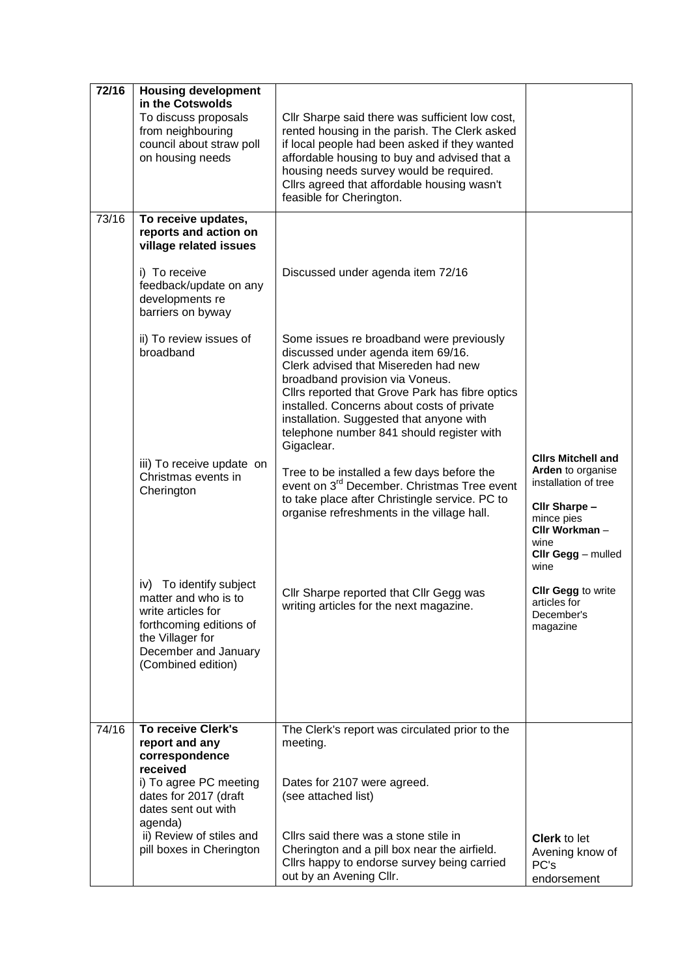| $\sqrt{72/16}$ | <b>Housing development</b><br>in the Cotswolds<br>To discuss proposals<br>from neighbouring<br>council about straw poll<br>on housing needs                           | Cllr Sharpe said there was sufficient low cost,<br>rented housing in the parish. The Clerk asked<br>if local people had been asked if they wanted<br>affordable housing to buy and advised that a<br>housing needs survey would be required.<br>Cllrs agreed that affordable housing wasn't<br>feasible for Cherington.                                           |                                                                                                                                                              |
|----------------|-----------------------------------------------------------------------------------------------------------------------------------------------------------------------|-------------------------------------------------------------------------------------------------------------------------------------------------------------------------------------------------------------------------------------------------------------------------------------------------------------------------------------------------------------------|--------------------------------------------------------------------------------------------------------------------------------------------------------------|
| 73/16          | To receive updates,<br>reports and action on<br>village related issues<br>i) To receive<br>feedback/update on any<br>developments re<br>barriers on byway             | Discussed under agenda item 72/16                                                                                                                                                                                                                                                                                                                                 |                                                                                                                                                              |
|                | ii) To review issues of<br>broadband                                                                                                                                  | Some issues re broadband were previously<br>discussed under agenda item 69/16.<br>Clerk advised that Misereden had new<br>broadband provision via Voneus.<br>Cllrs reported that Grove Park has fibre optics<br>installed. Concerns about costs of private<br>installation. Suggested that anyone with<br>telephone number 841 should register with<br>Gigaclear. |                                                                                                                                                              |
|                | iii) To receive update on<br>Christmas events in<br>Cherington                                                                                                        | Tree to be installed a few days before the<br>event on 3 <sup>rd</sup> December. Christmas Tree event<br>to take place after Christingle service. PC to<br>organise refreshments in the village hall.                                                                                                                                                             | <b>Clirs Mitchell and</b><br>Arden to organise<br>installation of tree<br>Cllr Sharpe -<br>mince pies<br>Cllr Workman-<br>wine<br>Cllr Gegg - mulled<br>wine |
|                | To identify subject<br>iv)<br>matter and who is to<br>write articles for<br>forthcoming editions of<br>the Villager for<br>December and January<br>(Combined edition) | Cllr Sharpe reported that Cllr Gegg was<br>writing articles for the next magazine.                                                                                                                                                                                                                                                                                | CIIr Gegg to write<br>articles for<br>December's<br>magazine                                                                                                 |
| 74/16          | To receive Clerk's<br>report and any<br>correspondence<br>received                                                                                                    | The Clerk's report was circulated prior to the<br>meeting.                                                                                                                                                                                                                                                                                                        |                                                                                                                                                              |
|                | i) To agree PC meeting<br>dates for 2017 (draft<br>dates sent out with<br>agenda)<br>ii) Review of stiles and<br>pill boxes in Cherington                             | Dates for 2107 were agreed.<br>(see attached list)<br>Cllrs said there was a stone stile in<br>Cherington and a pill box near the airfield.<br>Cllrs happy to endorse survey being carried<br>out by an Avening Cllr.                                                                                                                                             | <b>Clerk to let</b><br>Avening know of<br>PC's<br>endorsement                                                                                                |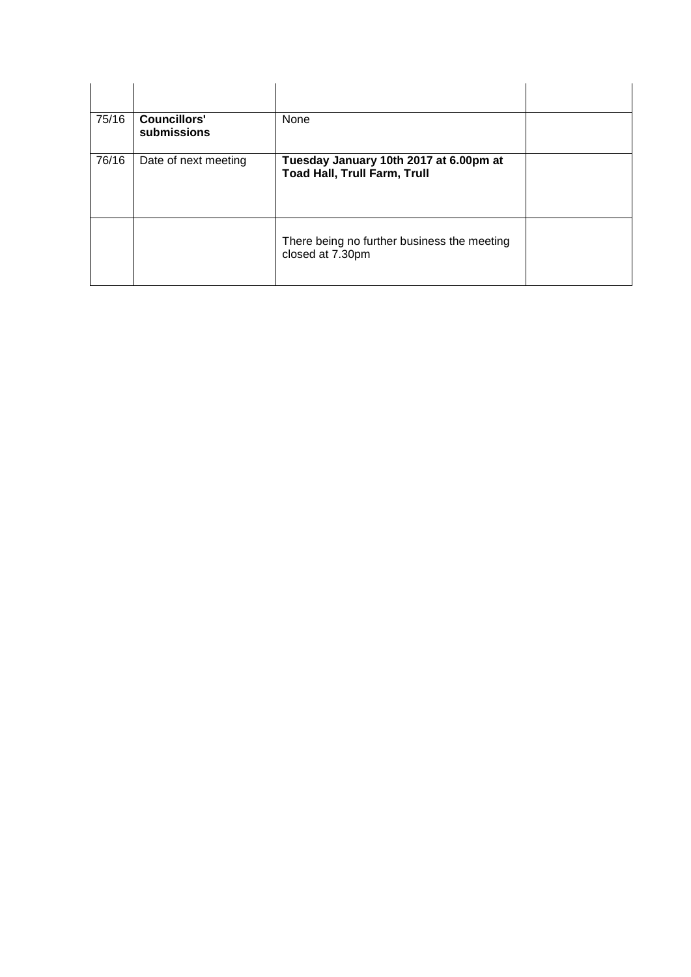| 75/16 | <b>Councillors'</b><br>submissions | None                                                                          |  |
|-------|------------------------------------|-------------------------------------------------------------------------------|--|
| 76/16 | Date of next meeting               | Tuesday January 10th 2017 at 6.00pm at<br><b>Toad Hall, Trull Farm, Trull</b> |  |
|       |                                    | There being no further business the meeting<br>closed at 7.30pm               |  |